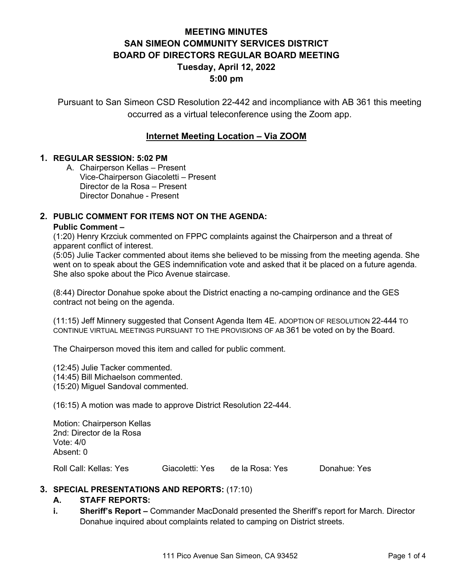## **MEETING MINUTES SAN SIMEON COMMUNITY SERVICES DISTRICT BOARD OF DIRECTORS REGULAR BOARD MEETING Tuesday, April 12, 2022 5:00 pm**

Pursuant to San Simeon CSD Resolution 22-442 and incompliance with AB 361 this meeting occurred as a virtual teleconference using the Zoom app.

## **Internet Meeting Location – Via ZOOM**

#### **1. REGULAR SESSION: 5:02 PM**

A. Chairperson Kellas – Present Vice-Chairperson Giacoletti – Present Director de la Rosa – Present Director Donahue - Present

#### **2. PUBLIC COMMENT FOR ITEMS NOT ON THE AGENDA:**

#### **Public Comment –**

(1:20) Henry Krzciuk commented on FPPC complaints against the Chairperson and a threat of apparent conflict of interest.

(5:05) Julie Tacker commented about items she believed to be missing from the meeting agenda. She went on to speak about the GES indemnification vote and asked that it be placed on a future agenda. She also spoke about the Pico Avenue staircase.

(8:44) Director Donahue spoke about the District enacting a no-camping ordinance and the GES contract not being on the agenda.

(11:15) Jeff Minnery suggested that Consent Agenda Item 4E. ADOPTION OF RESOLUTION 22-444 TO CONTINUE VIRTUAL MEETINGS PURSUANT TO THE PROVISIONS OF AB 361 be voted on by the Board.

The Chairperson moved this item and called for public comment.

(12:45) Julie Tacker commented.

(14:45) Bill Michaelson commented.

(15:20) Miguel Sandoval commented.

(16:15) A motion was made to approve District Resolution 22-444.

Motion: Chairperson Kellas 2nd: Director de la Rosa Vote: 4/0 Absent: 0

Roll Call: Kellas: Yes Giacoletti: Yes de la Rosa: Yes Donahue: Yes

#### **3. SPECIAL PRESENTATIONS AND REPORTS:** (17:10)

#### **A. STAFF REPORTS:**

**i. Sheriff's Report –** Commander MacDonald presented the Sheriff's report for March. Director Donahue inquired about complaints related to camping on District streets.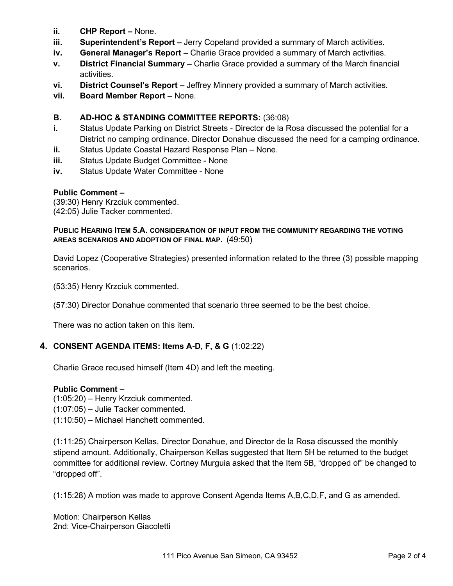- **ii. CHP Report –** None.
- **iii. Superintendent's Report –** Jerry Copeland provided a summary of March activities.
- **iv. General Manager's Report –** Charlie Grace provided a summary of March activities.
- **v. District Financial Summary –** Charlie Grace provided a summary of the March financial activities.
- **vi. District Counsel's Report –** Jeffrey Minnery provided a summary of March activities.
- **vii. Board Member Report –** None.

## **B. AD-HOC & STANDING COMMITTEE REPORTS:** (36:08)

- **i.** Status Update Parking on District Streets Director de la Rosa discussed the potential for a District no camping ordinance. Director Donahue discussed the need for a camping ordinance.
- **ii.** Status Update Coastal Hazard Response Plan None.
- **iii.** Status Update Budget Committee None
- **iv.** Status Update Water Committee None

## **Public Comment –**

(39:30) Henry Krzciuk commented. (42:05) Julie Tacker commented.

#### **PUBLIC HEARING ITEM 5.A. CONSIDERATION OF INPUT FROM THE COMMUNITY REGARDING THE VOTING AREAS SCENARIOS AND ADOPTION OF FINAL MAP.** (49:50)

David Lopez (Cooperative Strategies) presented information related to the three (3) possible mapping scenarios.

(53:35) Henry Krzciuk commented.

(57:30) Director Donahue commented that scenario three seemed to be the best choice.

There was no action taken on this item.

## **4. CONSENT AGENDA ITEMS: Items A-D, F, & G** (1:02:22)

Charlie Grace recused himself (Item 4D) and left the meeting.

#### **Public Comment –**

(1:05:20) – Henry Krzciuk commented.

(1:07:05) – Julie Tacker commented.

(1:10:50) – Michael Hanchett commented.

(1:11:25) Chairperson Kellas, Director Donahue, and Director de la Rosa discussed the monthly stipend amount. Additionally, Chairperson Kellas suggested that Item 5H be returned to the budget committee for additional review. Cortney Murguia asked that the Item 5B, "dropped of" be changed to "dropped off".

(1:15:28) A motion was made to approve Consent Agenda Items A,B,C,D,F, and G as amended.

Motion: Chairperson Kellas 2nd: Vice-Chairperson Giacoletti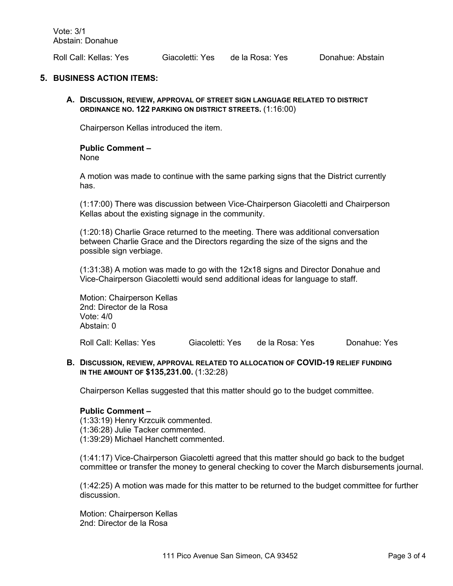Roll Call: Kellas: Yes Giacoletti: Yes de la Rosa: Yes Donahue: Abstain

#### **5. BUSINESS ACTION ITEMS:**

**A. DISCUSSION, REVIEW, APPROVAL OF STREET SIGN LANGUAGE RELATED TO DISTRICT ORDINANCE NO. 122 PARKING ON DISTRICT STREETS.** (1:16:00)

Chairperson Kellas introduced the item.

## **Public Comment –**

None

A motion was made to continue with the same parking signs that the District currently has.

(1:17:00) There was discussion between Vice-Chairperson Giacoletti and Chairperson Kellas about the existing signage in the community.

(1:20:18) Charlie Grace returned to the meeting. There was additional conversation between Charlie Grace and the Directors regarding the size of the signs and the possible sign verbiage.

(1:31:38) A motion was made to go with the 12x18 signs and Director Donahue and Vice-Chairperson Giacoletti would send additional ideas for language to staff.

Motion: Chairperson Kellas 2nd: Director de la Rosa Vote: 4/0 Abstain: 0

Roll Call: Kellas: Yes Giacoletti: Yes de la Rosa: Yes Donahue: Yes

#### **B. DISCUSSION, REVIEW, APPROVAL RELATED TO ALLOCATION OF COVID-19 RELIEF FUNDING IN THE AMOUNT OF \$135,231.00.** (1:32:28)

Chairperson Kellas suggested that this matter should go to the budget committee.

#### **Public Comment –**

(1:33:19) Henry Krzcuik commented. (1:36:28) Julie Tacker commented. (1:39:29) Michael Hanchett commented.

(1:41:17) Vice-Chairperson Giacoletti agreed that this matter should go back to the budget committee or transfer the money to general checking to cover the March disbursements journal.

(1:42:25) A motion was made for this matter to be returned to the budget committee for further discussion.

Motion: Chairperson Kellas 2nd: Director de la Rosa